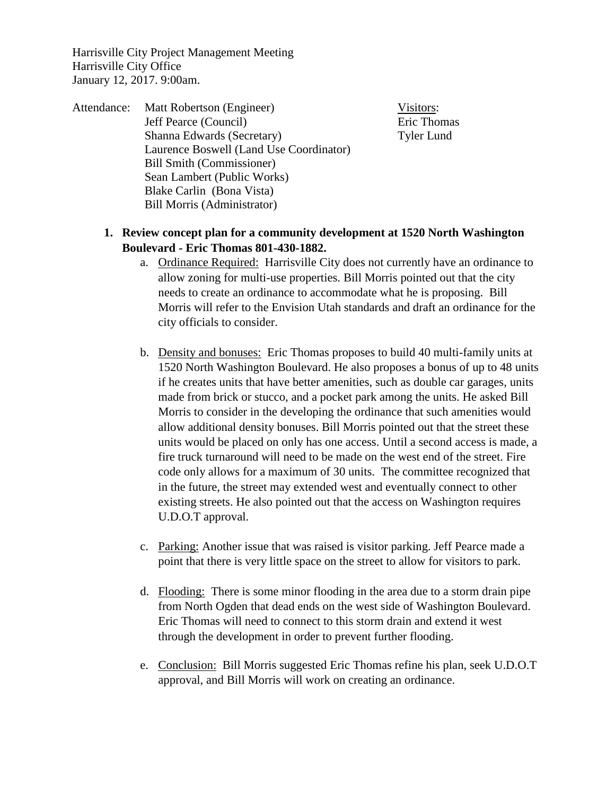Harrisville City Project Management Meeting Harrisville City Office January 12, 2017. 9:00am.

Attendance: Matt Robertson (Engineer) Visitors: Jeff Pearce (Council) Eric Thomas Shanna Edwards (Secretary) Tyler Lund Laurence Boswell (Land Use Coordinator) Bill Smith (Commissioner) Sean Lambert (Public Works) Blake Carlin (Bona Vista) Bill Morris (Administrator)

**1. Review concept plan for a community development at 1520 North Washington** 

- **Boulevard - Eric Thomas 801-430-1882.** 
	- a. Ordinance Required: Harrisville City does not currently have an ordinance to allow zoning for multi-use properties. Bill Morris pointed out that the city needs to create an ordinance to accommodate what he is proposing. Bill Morris will refer to the Envision Utah standards and draft an ordinance for the city officials to consider.
	- b. Density and bonuses: Eric Thomas proposes to build 40 multi-family units at 1520 North Washington Boulevard. He also proposes a bonus of up to 48 units if he creates units that have better amenities, such as double car garages, units made from brick or stucco, and a pocket park among the units. He asked Bill Morris to consider in the developing the ordinance that such amenities would allow additional density bonuses. Bill Morris pointed out that the street these units would be placed on only has one access. Until a second access is made, a fire truck turnaround will need to be made on the west end of the street. Fire code only allows for a maximum of 30 units. The committee recognized that in the future, the street may extended west and eventually connect to other existing streets. He also pointed out that the access on Washington requires U.D.O.T approval.
	- c. Parking: Another issue that was raised is visitor parking. Jeff Pearce made a point that there is very little space on the street to allow for visitors to park.
	- d. Flooding: There is some minor flooding in the area due to a storm drain pipe from North Ogden that dead ends on the west side of Washington Boulevard. Eric Thomas will need to connect to this storm drain and extend it west through the development in order to prevent further flooding.
	- e. Conclusion: Bill Morris suggested Eric Thomas refine his plan, seek U.D.O.T approval, and Bill Morris will work on creating an ordinance.